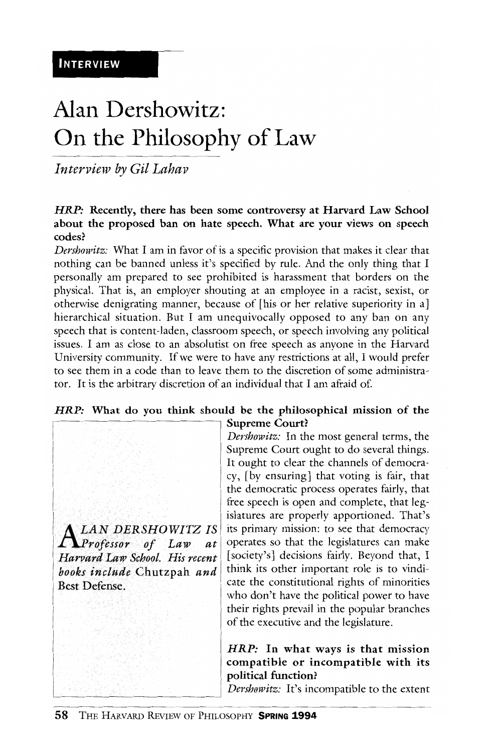# **Alan Dershowitz: On the Philosophy of Law**

*Interview by Gil Lahav* 

#### *HRP:* Recently, there has been some controversy at Harvard Law School about the proposed ban on hate speech. What are your views on speech codes?

*Dershowitz:* What I am in favor of is a specific provision that makes it clear that nothing can be banned unless it's specified by rule. And the only thing that I personally am prepared to see prohibited is harassment that borders on the physical. That is, an employer shouting at an employee in a racist, sexist, or otherwise denigrating manner, because of [his or her relative superiority in a] hierarchical situation. But I am unequivocally opposed to any ban on any speech that is content-laden, classroom speech, or speech involving any political issues. I am as close to an absolutist on free speech as anyone in the Harvard University community. Ifwe were to have any restrictions at all, I would prefer to see them in a code than to leave them to the discretion of some administrator. It is the arbitrary discretion of an individual that I am afraid of.

# *HRP*: What do you think should be the philosophical mission of the state of the Supreme Court?



! *Dershowitz:* In the most general terms, the Supreme Court ought to do several things. It ought to clear the channels of democracy, [by ensuring] that voting is fair, that the democratic process operates fairly, that free speech is open and complete, that leg islatures are properly apportioned. That's its primary mission: to see that democracy operates so that the legislatures can make [society's] decisions fairly. Beyond that, I think its other important role is to vindicate the constitutional rights of minorities who don't have the political power to have their rights prevail in the popular branches of the executive and the legislature.

# *HRP:* In what ways is that mission compatible or incompatible with its political function?

---~---~------------~ *Dcrshowitz:* It's incompatible to the extent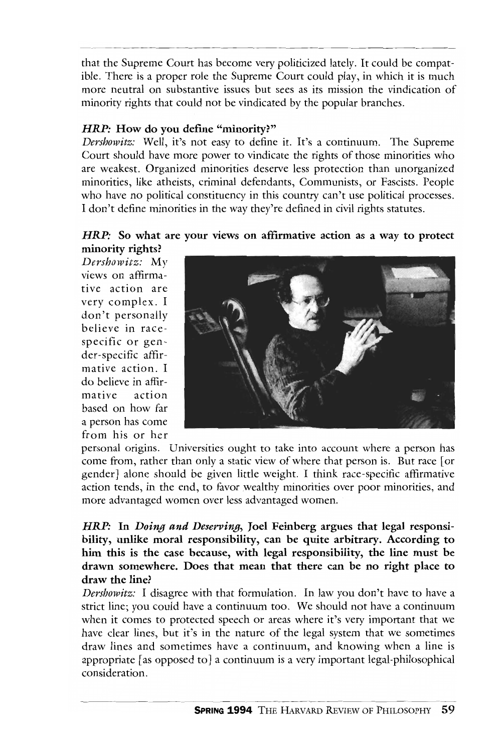- -------- - ---- - that the Supreme Court has become very politicized lately. It could be compatible. There is a proper role the Supreme Court could play, in which it is much more neutral on substantive issues but sees as its mission the vindication of minority rights that could not be vindicated by the popular branches.

# *HRP*: How do you define "minority?"

*Dershowitz:* Well, it's not easy to define it. It's a continuum. The Supreme Court should have more power to vindicate the rights of those minorities who are weakest. Organized minorities deserve less protection than unorganized minorities, like atheists, criminal defendants, Communists, or Fascists. People who have no political constituency in this country can't use political processes. I don't define minorities in the way they're defined in civil rights statutes.

#### *HRP:* So what are your views on affirmative action as a way to protect minority rights?

*Dershowitz:* My views on affirmative action are very complex. I don't personally believe in racespecific or gender-specific affirmative action. I do believe in affirmative action based on how far a person has come from his or her



personal origins. Universities ought to take into account where a person has come from, rather than only a static view of where that person is. But race [or gender] alone should be given little weight. I think race-specific affirmative action tends, in the end, to favor wealthy minorities over poor minorities, and more advantaged women over less advantaged women.

*HRP:* In *Doing and Deserving,* Joel Feinberg argues that legal responsibility, unlike moral responsibility, can be quite arbitrary. According to him this is the case because, with legal responsibility, the line must be drawn somewhere. Does that mean that there can be no right place to draw the line?

*Dershowitz:* I disagree with that formulation. In law you don't have to have a strict line; you could have a continuum too. We should not have a continuum when it comes to protected speech or areas where it's very important that we have clear lines, but it's in the nature of the legal system that we sometimes draw lines and sometimes have a continuum, and knowing when a line is appropriate [as opposed to] a continuum is a very important legal-philosophical consideration.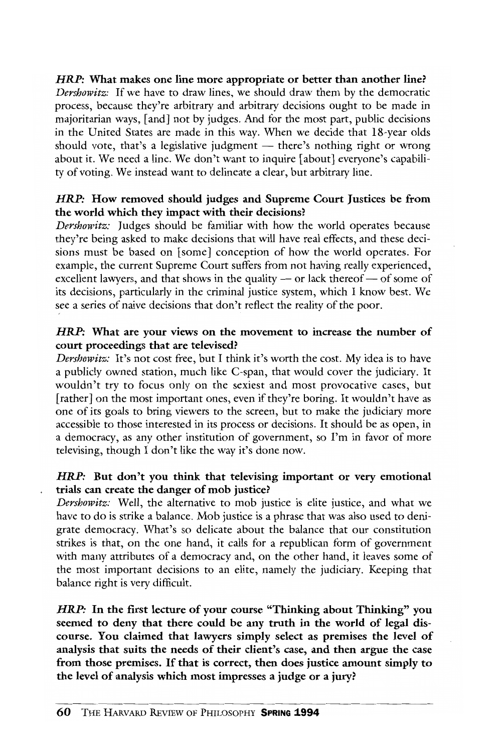*HRP*: What makes one line more appropriate or better than another line? *Dershowitz:* If we have to draw lines, we should draw them by the democratic process, because they're arbitrary and arbitrary decisions ought to be made in majoritarian ways, [and] not by judges. And for the most part, public decisions in the United States are made in this way. When we decide that IS-year olds should vote, that's a legislative judgment - there's nothing right or wrong about it. We need a line. We don't want to inquire [about] everyone's capability of voting. We instead want to delineate a clear, but arbitrary line.

#### *HRP:* How removed should judges and Supreme Court Justices be from the world which they impact with their decisions?

*Dershowitz:* Judges should be familiar with how the world operates because they're being asked to make decisions that will have real effects, and these decisions must be based on [some] conception of how the world operates. For example, the current Supreme Court suffers from not having really experienced, excellent lawyers, and that shows in the quality  $-$  or lack thereof  $-$  of some of its decisions, particularly in the criminal justice system, which I know best. We see a series of naive decisions that don't reflect the reality of the poor.

#### *HRP:* What are your views on the movement to increase the number of court proceedings that are televised?

*Dershowitz*: It's not cost free, but I think it's worth the cost. My idea is to have a publicly owned station, much like C-span, that would cover the judiciary. It wouldn't try to focus only on the sexiest and most provocative cases, but [rather] on the most important ones, even if they're boring. It wouldn't have as one of its goals to bring viewers to the screen, but to make the judiciary more accessible to those interested in its process or decisions. It should be as open, in a democracy, as any other institution of government, so I'm in favor of more televising, though I don't like the way it's done now.

#### *HRP:* But don't you think that televising important or very emotional trials can create the danger of mob justice?

*Dershowitz:* Well, the alternative to mob justice is elite justice, and what we have to do is strike a balance. Mob justice is a phrase that was also used to denigrate democracy. What's so delicate about the balance that our constitution strikes is that, on the one hand, it calls for a republican form of government with many attributes of a democracy and, on the other hand, it leaves some of the most important decisions to an elite, namely the judiciary. Keeping that balance right is very difficult.

*HRP*: In the first lecture of your course "Thinking about Thinking" you seemed to deny that there could be any truth in the world of legal discourse. You claimed that lawyers simply select as premises the level of analysis that suits the needs of their client's case, and then argue the case from those premises. If that is correct, then does justice amount simply to the level of analysis which most impresses a judge or a jury?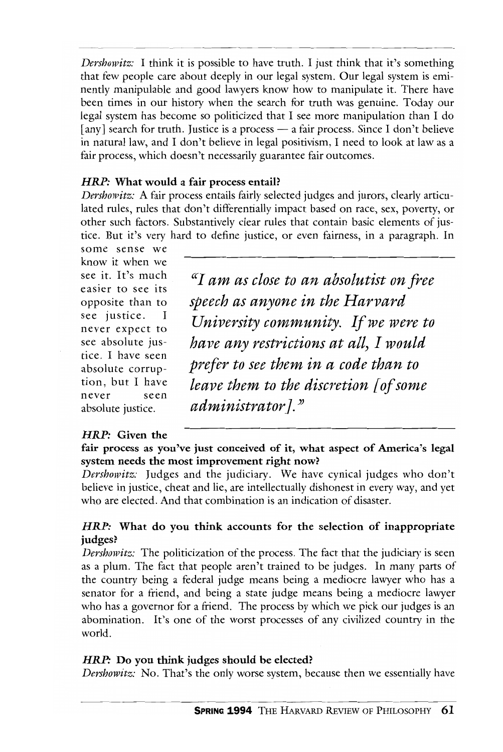*Dershowitz*: I think it is possible to have truth. I just think that it's something that few people care about deeply in our legal system. Our legal system is eminently manipulable and good lawyers know how to manipulate it. There have been times in our history when the search for truth was genuine. Today our legal system has become so politicized that I see more manipulation than 1 do [any] search for truth. Justice is a process — a fair process. Since I don't believe in natural law, and I don't believe in legal positivism, I need to look at law as a fair process, which doesn't necessarily guarantee fair outcomes.

#### *HRP:* What would a fair process entail?

*Dershowitz:* A fair process entails fairly selected judges and jurors, clearly articulated rules, rules that don't differentially impact based on race, sex, poverty, or other such factors. Substantively clear rules that contain basic elements of justice. But it's very hard to define justice, or even fairness, in a paragraph. In

some sense we know it when we see it. It's much easier to see its opposite than to see justice. never expect to see absolute justice. I have seen absolute corruption, but I have never seen absolute justice.

#### *HRP:* Given the

*((1 am as close to an absolutist on free speech as anyone in the Harvard University community. If we were to have any restrictions at all)* 1 *would prefer to see them in a code than to leave them to the discretion [of some administrator].* ))

fair process as you've just conceived of it, what aspect of America's legal system needs the most improvement right now?

*Dershowitz:* Judges and the judiciary. We have cynical judges who don't believe in justice, cheat and lie, are intellectually dishonest in every way, and yet who are elected. And that combination is an indication of disaster.

#### *HRP:* What do you think accounts for the selection of inappropriate judges?

*Dershowitz:* The politicization of the process. The fact that the judiciary is seen as a plum. The fact that people aren't trained to be judges. In many parts of the country being a federal judge means being a mediocre lawyer who has a senator for a friend, and being a state judge means being a mediocre lawyer who has a governor for a friend. The process by which we pick our judges is an abomination. It's one of the worst processes of any civilized country in the world.

#### *HRP*: Do you think judges should be elected?

*Dershowitz:* No. That's the only worse system, because then we essentially have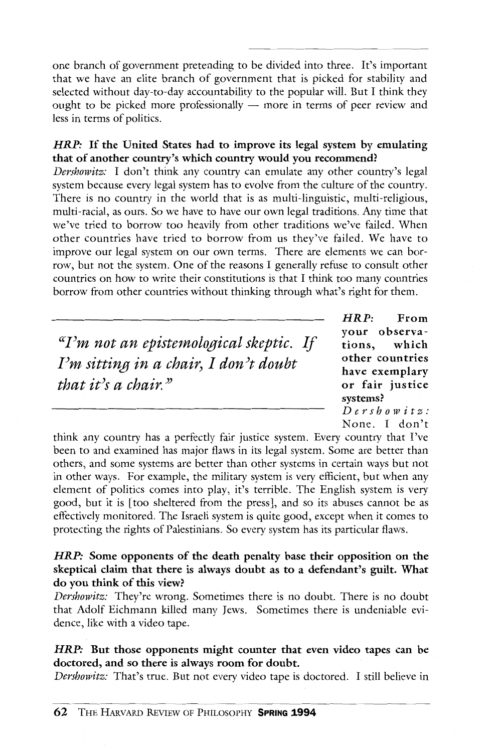one branch of government pretending to be divided into three. It's important that we have an elite branch of government that is picked for stability and selected without day-to-day accountability to the popular will. But I think they ought to be picked more professionally  $-$  more in terms of peer review and less in terms of politics.

#### *HRP:* If the United States had to improve its legal system by emulating that of another country's which country would you recommend?

*Dershowitz:* I don't think any country can emulate any other country's legal system because every legal system has to evolve from the culture of the country. There is no country in the world that is as multi-linguistic, multi-religious, multi-racial, as ours. So we have to have our own legal traditions. Any time that we've tried to borrow too heavily from other traditions we've failed. When other countries have tried to borrow from us they've failed. We have to improve our legal system on our own terms. There are elements we can borrow, but not the system. One of the reasons I generally refuse to consult other countries on how to write their constitutions is that I think too many countries borrow from other countries without thinking through what's right for them.

*((Pm not an epistemological skeptic. If Pm sitting in a chair, I don't doubt that it)s a chair.))* 

*HRP:* From your observations, which other countries have exemplary or fair justice systems? *Dershowitz:*  None. I don't

think any country has a perfectly fair justice system. Every country that I've been to and examined has major flaws in its legal system. Some are better than others, and some systems are better than other systems in certain ways but not in other ways. For example, the military system is very efficient, but when any element of politics comes into play, it's terrible. The English system is very good, but it is [too sheltered from the press], and so its abuses cannot be as effectively monitored. The Israeli system is quite good, except when it comes to protecting the rights of Palestinians. So every system has its particular flaws.

#### *HRP:* Some opponents of the death penalty base their opposition on the skeptical claim that there is always doubt as to a defendant's guilt. What do you think of this view?

*Dershowitz:* They're wrong. Sometimes there is no doubt. There is no doubt that Adolf Eichmann killed many Jews. Sometimes there is undeniable evidence, like with a video tape.

## *HRP:* But those opponents might counter that even video tapes can be doctored, and so there is always room for doubt.

*Dershowitz:* That's true. But not every video tape is doctored. I still believe in